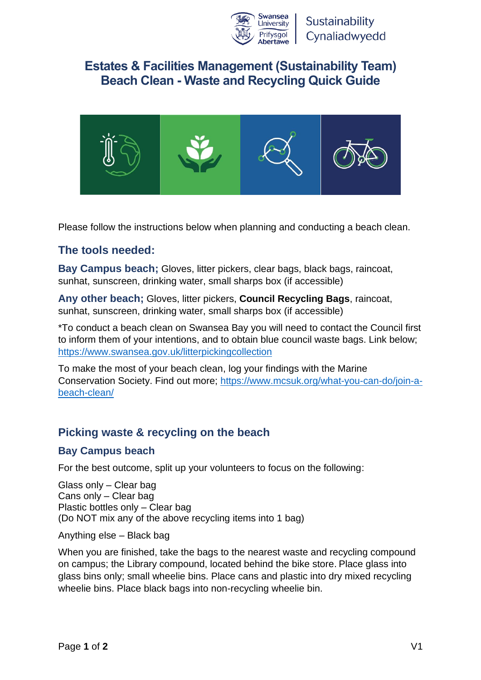

# **Estates & Facilities Management (Sustainability Team) Beach Clean - Waste and Recycling Quick Guide**



Please follow the instructions below when planning and conducting a beach clean.

### **The tools needed:**

**Bay Campus beach;** Gloves, litter pickers, clear bags, black bags, raincoat, sunhat, sunscreen, drinking water, small sharps box (if accessible)

**Any other beach;** Gloves, litter pickers, **Council Recycling Bags**, raincoat, sunhat, sunscreen, drinking water, small sharps box (if accessible)

\*To conduct a beach clean on Swansea Bay you will need to contact the Council first to inform them of your intentions, and to obtain blue council waste bags. Link below; <https://www.swansea.gov.uk/litterpickingcollection>

To make the most of your beach clean, log your findings with the Marine Conservation Society. Find out more; [https://www.mcsuk.org/what-you-can-do/join-a](https://www.mcsuk.org/what-you-can-do/join-a-beach-clean/)[beach-clean/](https://www.mcsuk.org/what-you-can-do/join-a-beach-clean/)

## **Picking waste & recycling on the beach**

#### **Bay Campus beach**

For the best outcome, split up your volunteers to focus on the following:

Glass only – Clear bag Cans only – Clear bag Plastic bottles only – Clear bag (Do NOT mix any of the above recycling items into 1 bag)

Anything else – Black bag

When you are finished, take the bags to the nearest waste and recycling compound on campus; the Library compound, located behind the bike store. Place glass into glass bins only; small wheelie bins. Place cans and plastic into dry mixed recycling wheelie bins. Place black bags into non-recycling wheelie bin.